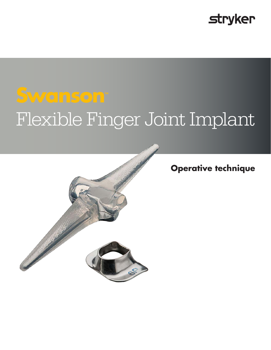# **stryker**

# **Swanson™** Flexible Finger Joint Implant



## **Operative technique**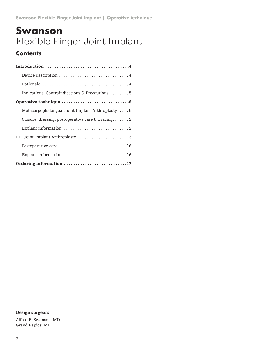# **Swanson** Flexible Finger Joint Implant

### **Contents**

| Indications, Contraindications & Precautions 5     |
|----------------------------------------------------|
|                                                    |
| Metacarpophalangeal Joint Implant Arthroplasty6    |
| Closure, dressing, postoperative care & bracing 12 |
| Explant information  12                            |
| PIP Joint Implant Arthroplasty  13                 |
|                                                    |
| Explant information  16                            |
| Ordering information 17                            |

#### Design surgeon:

Alfred B. Swanson, MD Grand Rapids, MI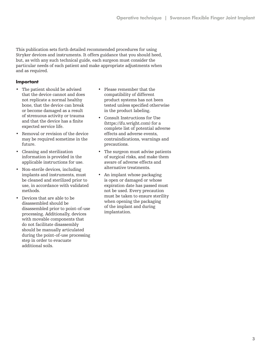This publication sets forth detailed recommended procedures for using Stryker devices and instruments. It offers guidance that you should heed, but, as with any such technical guide, each surgeon must consider the particular needs of each patient and make appropriate adjustments when and as required.

#### **Important**

- The patient should be advised that the device cannot and does not replicate a normal healthy bone, that the device can break or become damaged as a result of strenuous activity or trauma and that the device has a finite expected service life.
- Removal or revision of the device may be required sometime in the future.
- Cleaning and sterilization information is provided in the applicable instructions for use.
- Non-sterile devices, including implants and instruments, must be cleaned and sterilized prior to use, in accordance with validated methods.
- Devices that are able to be disassembled should be disassembled prior to point-of-use processing. Additionally, devices with movable components that do not facilitate disassembly should be manually articulated during the point-of-use processing step in order to evacuate additional soils.
- Please remember that the compatibility of different product systems has not been tested unless specified otherwise in the product labeling.
- Consult Instructions for Use (https://ifu.wright.com) for a complete list of potential adverse effects and adverse events, contraindications, warnings and precautions.
- The surgeon must advise patients of surgical risks, and make them aware of adverse effects and alternative treatments.
- An implant whose packaging is open or damaged or whose expiration date has passed must not be used. Every precaution must be taken to ensure sterility when opening the packaging of the implant and during implantation.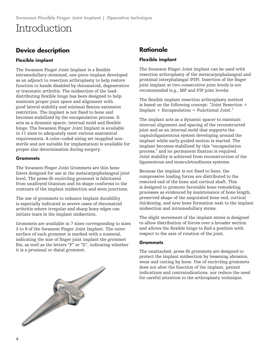# Introduction

### **Device description**

#### **Flexible implant**

The Swanson Finger Joint Implant is a flexible intramedullary-stemmed, one-piece implant developed as an adjunct to resection arthroplasty to help restore function to hands disabled by rheumatoid, degenerative or traumatic arthritis. The midsection of the loaddistributing flexible hinge has been designed to help maintain proper joint space and alignment with good lateral stability and minimal flexion-extension restriction. The implant is not fixed to bone and becomes stabilized by the encapsulation process. It acts as a dynamic spacer, internal mold and flexible hinge. The Swanson Finger Joint Implant is available in 11 sizes to adequately meet various anatomical requirements. A color-coded sizing set (supplied nonsterile and not suitable for implantation) is available for proper size determination during surgery.

#### **Grommets**

The Swanson Finger Joint Grommets are thin bone liners designed for use at the metacarpophalangeal joint level. The press-fit encircling grommet is fabricated from unalloyed titanium and its shape conforms to the contours of the implant midsection and stem junctions.

The use of grommets to enhance implant durability is especially indicated in severe cases of rheumatoid arthritis where irregular and sharp bony edges can initiate tears in the implant midsection.

Grommets are available in 7 sizes corresponding to sizes 3 to 9 of the Swanson Finger Joint Implant. The outer surface of each grommet is marked with a numeral, indicating the size of finger joint implant the grommet fits, as well as the letters "P" or "D", indicating whether it is a proximal or distal grommet.



#### **Flexible implant**

The Swanson Finger Joint implant can be used with resection arthroplasty of the metacarpophalangeal and proximal interphalangal (PIP). Insertion of the finger joint implant at two consecutive joint levels is not recommended (e.g., MP and PIP joint levels).

The flexible implant resection arthroplasty method is based on the following concept: "Joint Resection + Implant + Encapsulation = Functional Joint."

The implant acts as a dynamic spacer to maintain internal alignment and spacing of the reconstructed joint and as an internal mold that supports the capsuloligamentous system developing around the implant while early guided motion is started. The implant becomes stabilized by this "encapsulation process," and no permanent fixation is required. Joint stability is achieved from reconstruction of the ligamentous and musculotendinous systems.

Because the implant is not fixed to bone, the compressive loading forces are distributed to the resected end of the bone and cortical shaft. This is designed to promote favorable bone remodeling processes as evidenced by maintenance of bone length, preserved shape of the amputated bone end, cortical thickening, and new bone formation next to the implant midsection and intramedullary stems.

The slight movement of the implant stems is designed to allow distribution of forces over a broader section and allows the flexible hinge to find a position with respect to the axis of rotation of the joint.

#### **Grommets**

The unattached, press-fit grommets are designed to protect the implant midsection by lessening abrasion, wear and cutting by bone. Use of encircling grommets does not alter the function of the implant, patient indications and contraindications, nor reduce the need for careful attention to the arthroplasty technique.

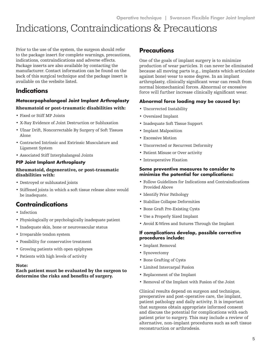# Indications, Contraindications & Precautions

Prior to the use of the system, the surgeon should refer to the package insert for complete warnings, precautions, indications, contraindications and adverse effects. Package inserts are also available by contacting the manufacturer. Contact information can be found on the back of this surgical technique and the package insert is available on the website listed.

### **Indications**

#### **Metacarpophalangeal Joint Implant Arthroplasty**

#### Rheumatoid or post-traumatic disabilities with:

- Fixed or Stiff MP Joints
- X-Ray Evidence of Joint Destruction or Subluxation
- Ulnar Drift, Noncorrectable By Surgery of Soft Tissues Alone
- Contracted Intrinsic and Extrinsic Musculature and Ligament System
- Associated Stiff Interphalangeal Joints

#### **PIP Joint Implant Arthroplasty**

#### Rheumatoid, degenerative, or post-traumatic disabilities with:

- Destroyed or subluxated joints
- Stiffened joints in which a soft tissue release alone would be inadequate.

### **Contraindications**

- Infection
- Physiologically or psychologically inadequate patient
- Inadequate skin, bone or neurovascular status
- Irreparable tendon system
- Possibility for conservative treatment
- Growing patients with open epiphyses
- Patients with high levels of activity

#### Note:

#### Each patient must be evaluated by the surgeon to determine the risks and benefits of surgery.

### **Precautions**

One of the goals of implant surgery is to minimize production of wear particles. It can never be eliminated because all moving parts (e.g., implants which articulate against bone) wear to some degree. In an implant arthroplasty, clinically significant wear can result from normal biomechanical forces. Abnormal or excessive force will further increase clinically significant wear.

#### **Abnormal force loading may be caused by:**

- Uncorrected Instability
- Oversized Implant
- Inadequate Soft Tissue Support
- Implant Malposition
- Excessive Motion
- Uncorrected or Recurrent Deformity
- Patient Misuse or Over activity
- Intraoperative Fixation

#### **Some preventive measures to consider to minimize the potential for complications:**

- Follow Guidelines for Indications and Contraindications Provided Above
- Identify Prior Pathology
- Stabilize Collapse Deformities
- Bone Graft Pre-Existing Cysts
- Use a Properly Sized Implant
- Avoid K-Wires and Sutures Through the Implant

#### **If complications develop, possible corrective procedures include:**

- Implant Removal
- Synovectomy
- Bone Grafting of Cysts
- Limited Intercarpal Fusion
- Replacement of the Implant
- Removal of the Implant with Fusion of the Joint

Clinical results depend on surgeon and technique, preoperative and post-operative care, the implant, patient pathology and daily activity. It is important that surgeons obtain appropriate informed consent and discuss the potential for complications with each patient prior to surgery. This may include a review of alternative, non-implant procedures such as soft tissue reconstruction or arthrodesis.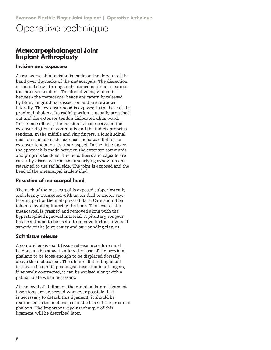### **Metacarpophalangeal Joint Implant Arthroplasty**

#### **Incision and exposure**

A transverse skin incision is made on the dorsum of the hand over the necks of the metacarpals. The dissection is carried down through subcutaneous tissue to expose the extensor tendons. The dorsal veins, which lie between the metacarpal heads are carefully released by blunt longitudinal dissection and are retracted laterally. The extensor hood is exposed to the base of the proximal phalanx. Its radial portion is usually stretched out and the extensor tendon dislocated ulnarward. In the index finger, the incision is made between the extensor digitorum communis and the indicis proprius tendons. In the middle and ring fingers, a longitudinal incision is made in the extensor hood parallel to the extensor tendon on its ulnar aspect. In the little finger, the approach is made between the extensor communis and proprius tendons. The hood fibers and capsule are carefully dissected from the underlying synovium and retracted to the radial side. The joint is exposed and the head of the metacarpal is identified.

#### **Resection of metacarpal head**

The neck of the metacarpal is exposed subperiosteally and cleanly transected with an air drill or motor saw, leaving part of the metaphyseal flare. Care should be taken to avoid splintering the bone. The head of the metacarpal is grasped and removed along with the hypertrophied synovial material. A pituitary rongeur has been found to be useful to remove further involved synovia of the joint cavity and surrounding tissues.

#### **Soft tissue release**

A comprehensive soft tissue release procedure must be done at this stage to allow the base of the proximal phalanx to be loose enough to be displaced dorsally above the metacarpal. The ulnar collateral ligament is released from its phalangeal insertion in all fingers; if severely contracted, it can be excised along with a palmar plate when necessary.

At the level of all fingers, the radial collateral ligament insertions are preserved whenever possible. If it is necessary to detach this ligament, it should be reattached to the metacarpal or the base of the proximal phalanx. The important repair technique of this ligament will be described later.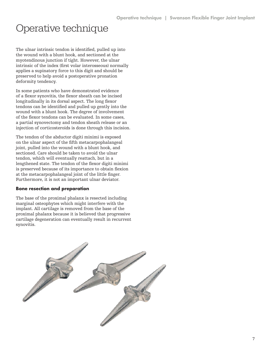The ulnar intrinsic tendon is identified, pulled up into the wound with a blunt hook, and sectioned at the myotendinous junction if tight. However, the ulnar intrinsic of the index (first volar interosseous) normally applies a supinatory force to this digit and should be preserved to help avoid a postoperative pronation deformity tendency.

In some patients who have demonstrated evidence of a flexor synovitis, the flexor sheath can be incised longitudinally in its dorsal aspect. The long flexor tendons can be identified and pulled up gently into the wound with a blunt hook. The degree of involvement of the flexor tendons can be evaluated. In some cases, a partial synovectomy and tendon sheath release or an injection of corticosteroids is done through this incision.

The tendon of the abductor digiti minimi is exposed on the ulnar aspect of the fifth metacarpophalangeal joint, pulled into the wound with a blunt hook, and sectioned. Care should be taken to avoid the ulnar tendon, which will eventually reattach, but in a lengthened state. The tendon of the flexor digiti minimi is preserved because of its importance to obtain flexion at the metacarpophalangeal joint of the little finger. Furthermore, it is not an important ulnar deviator.

#### **Bone resection and preparation**

The base of the proximal phalanx is resected including marginal osteophytes which might interfere with the implant. All cartilage is removed from the base of the proximal phalanx because it is believed that progressive cartilage degeneration can eventually result in recurrent synovitis.

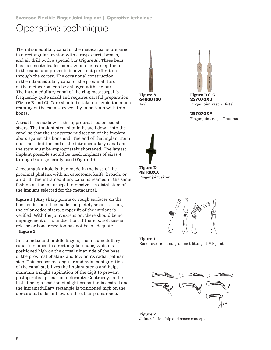The intramedullary canal of the metacarpal is prepared in a rectangular fashion with a rasp, curet, broach, and air drill with a special bur (Figure A). These burs have a smooth leader point, which helps keep them in the canal and prevents inadvertent perforation through the cortex. The occasional construction in the intramedullary canal of the proximal third of the metacarpal can be enlarged with the bur. The intramedullary canal of the ring metacarpal is frequently quite small and requires careful preparation (Figure B and C). Care should be taken to avoid too much reaming of the canals, especially in patients with thin bones.

A trial fit is made with the appropriate color-coded sizers. The implant stem should fit well down into the canal so that the transverse midsection of the implant abuts against the bone end. The end of the implant stem must not abut the end of the intramedullary canal and the stem must be appropriately shortened. The largest implant possible should be used. Implants of sizes 4 through 9 are generally used (Figure D).

A rectangular hole is then made in the base of the proximal phalanx with an osteotome, knife, broach, or air drill. The intramedullary canal is reamed in the same fashion as the metacarpal to receive the distal stem of the implant selected for the metacarpal.

Figure 1 | Any sharp points or rough surfaces on the bone ends should be made completely smooth. Using the color coded sizers, proper fit of the implant is verified. With the joint extension, there should be no impingement of its midsection. If there is, soft tissue release or bone resection has not been adequate. | Figure 2

In the index and middle fingers, the intramedullary canal is reamed in a rectangular shape, which is positioned high on the dorsal ulnar side of the base of the proximal phalanx and low on its radial palmar side. This proper rectangular and axial configuration of the canal stabilizes the implant stems and helps maintain a slight supination of the digit to prevent postoperative pronation deformity. Contrarily, in the little finger, a position of slight pronation is desired and the intramedullary rectangle is positioned high on the dorsoradial side and low on the ulnar palmar side.





Figure B & C **257070XD** Finger joint rasp - Distal

**257070XP** Finger joint rasp - Proximal



Finger joint sizer







Figure 2 Joint relationship and space concept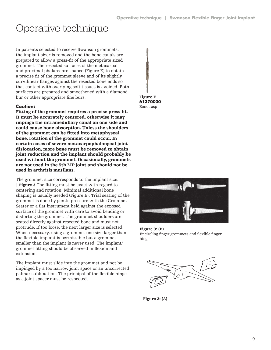In patients selected to receive Swanson grommets, the implant sizer is removed and the bone canals are prepared to allow a press-fit of the appropriate sized grommet. The resected surfaces of the metacarpal and proximal phalanx are shaped (Figure E) to obtain a precise fit of the grommet sleeve and of its slightly curvilinear flanges against the resected bone ends so that contact with overlying soft tissues is avoided. Both surfaces are prepared and smoothened with a diamond bur or other appropriate fine burs.

#### **Caution:**

Fitting of the grommet requires a precise press fit. It must be accurately centered, otherwise it may impinge the intramedullary canal on one side and could cause bone absorption. Unless the shoulders of the grommet can be fitted into metaphyseal bone, rotation of the grommet could occur. In certain cases of severe metacarpophalangeal joint dislocation, more bone must be removed to obtain joint reduction and the implant should probably be used without the grommet. Occasionally, grommets are not used in the 5th MP joint and should not be used in arthritis mutilans.

The grommet size corresponds to the implant size. | Figure 3 The fitting must be exact with regard to centering and rotation. Minimal additional bone shaping is usually needed (Figure E). Trial seating of the grommet is done by gentle pressure with the Grommet Seater or a flat instrument held against the exposed surface of the grommet with care to avoid bending or distorting the grommet. The grommet shoulders are seated directly against resected bone and must not protrude. If too loose, the next larger size is selected. When necessary, using a grommet one size larger than the flexible implant is permissible but a grommet smaller than the implant is never used. The implant/ grommet fitting should be observed in flexion and extension.

The implant must slide into the grommet and not be impinged by a too narrow joint space or an uncorrected palmar subluxation. The principal of the flexible hinge as a joint spacer must be respected.





Figure 3: (B) Encircling finger grommets and flexible finger hinge



Figure 3: (A)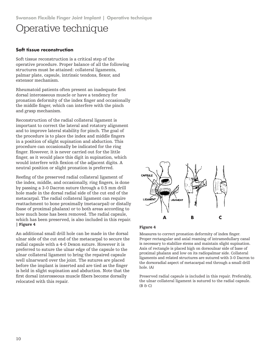#### **Soft tissue reconstruction**

Soft tissue reconstruction is a critical step of the operative procedure. Proper balance of all the following structures must be attained: collateral ligaments, palmar plate, capsule, intrinsic tendons, flexor, and extensor mechanism.

Rheumatoid patients often present an inadequate first dorsal interosseous muscle or have a tendency for pronation deformity of the index finger and occasionally the middle finger, which can interfere with the pinch and grasp mechanism.

Reconstruction of the radial collateral ligament is important to correct the lateral and rotatory alignment and to improve lateral stability for pinch. The goal of the procedure is to place the index and middle fingers in a position of slight supination and abduction. This procedure can occasionally be indicated for the ring finger. However, it is never carried out for the little finger, as it would place this digit in supination, which would interfere with flexion of the adjacent digits. A neutral position or slight pronation is preferred.

Reefing of the preserved radial collateral ligament of the index, middle, and occasionally, ring fingers, is done by passing a 3-0 Dacron suture through a 0.5 mm drill hole made in the dorsal radial side of the cut end of the metacarpal. The radial collateral ligament can require reattachment to bone proximally (metacarpal) or distally (base of proximal phalanx) or to both areas according to how much bone has been removed. The radial capsule, which has been preserved, is also included in this repair. | Figure 4

An additional small drill hole can be made in the dorsal ulnar side of the cut end of the metacarpal to secure the radial capsule with a 4-0 Dexon suture. However it is preferred to suture the ulnar edge of the capsule to the ulnar collateral ligament to bring the repaired capsule well ulnarward over the joint. The sutures are placed before the implant is inserted and are tied as the finger is held in slight supination and abduction. Note that the first dorsal interosseous muscle fibers become dorsally relocated with this repair.



#### Figure 4

Measures to correct pronation deformity of index finger. Proper rectangular and axial reaming of intramedullary canal is necessary to stabilize stems and maintain slight supination. Axis of rectangle is placed high on dorsoulnar side of base of proximal phalanx and low on its radiopalmar side. Collateral ligaments and related structures are sutured with 3-0 Dacron to the dorsoradial aspect of metacarpal end through a small drill hole. (A)

Preserved radial capsule is included in this repair. Preferably, the ulnar collateral ligament is sutured to the radial capsule.  $(B \bigoplus C)$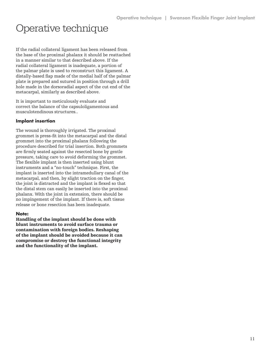If the radial collateral ligament has been released from the base of the proximal phalanx it should be reattached in a manner similar to that described above. If the radial collateral ligament is inadequate, a portion of the palmar plate is used to reconstruct this ligament. A distally-based flap made of the medial half of the palmar plate is prepared and sutured in position through a drill hole made in the dorsoradial aspect of the cut end of the metacarpal, similarly as described above.

It is important to meticulously evaluate and correct the balance of the capsuloligamentous and musculotendinous structures..

#### **Implant insertion**

The wound is thoroughly irrigated. The proximal grommet is press-fit into the metacarpal and the distal grommet into the proximal phalanx following the procedure described for trial insertion. Both grommets are firmly seated against the resected bone by gentle pressure, taking care to avoid deforming the grommet. The flexible implant is then inserted using blunt instruments and a "no-touch" technique. First, the implant is inserted into the intramedullary canal of the metacarpal, and then, by slight traction on the finger, the joint is distracted and the implant is flexed so that the distal stem can easily be inserted into the proximal phalanx. With the joint in extension, there should be no impingement of the implant. If there is, soft tissue release or bone resection has been inadequate.

#### **Note:**

Handling of the implant should be done with blunt instruments to avoid surface trauma or contamination with foreign bodies. Reshaping of the implant should be avoided because it can compromise or destroy the functional integrity and the functionality of the implant.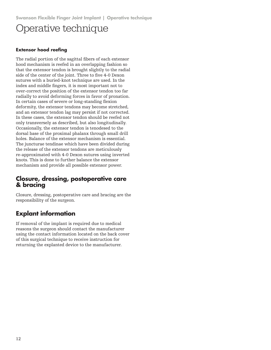#### **Extensor hood reefing**

The radial portion of the sagittal fibers of each extensor hood mechanism is reefed in an overlapping fashion so that the extensor tendon is brought slightly to the radial side of the center of the joint. Three to five 4-0 Dexon sutures with a buried-knot technique are used. In the index and middle fingers, it is most important not to over-correct the position of the extensor tendon too far radially to avoid deforming forces in favor of pronation. In certain cases of severe or long-standing flexion deformity, the extensor tendons may become stretched, and an extensor tendon lag may persist if not corrected. In these cases, the extensor tendon should be reefed not only transversely as described, but also longitudinally. Occasionally, the extensor tendon is tenodesed to the dorsal base of the proximal phalanx through small drill holes. Balance of the extensor mechanism is essential. The juncturae tendinae which have been divided during the release of the extensor tendons are meticulously re-approximated with 4-0 Dexon sutures using inverted knots. This is done to further balance the extensor mechanism and provide all possible extensor power.

### **Closure, dressing, postoperative care & bracing**

Closure, dressing, postoperative care and bracing are the responsibility of the surgeon.

### **Explant information**

If removal of the implant is required due to medical reasons the surgeon should contact the manufacturer using the contact information located on the back cover of this surgical technique to receive instruction for returning the explanted device to the manufacturer.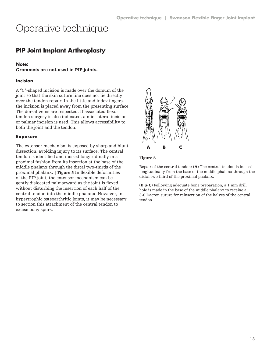### **PIP Joint Implant Arthroplasty**

#### **Note:**

Grommets are not used in PIP joints.

#### **Incision**

A "C"-shaped incision is made over the dorsum of the joint so that the skin suture line does not lie directly over the tendon repair. In the little and index fingers, the incision is placed away from the presenting surface. The dorsal veins are respected. If associated flexor tendon surgery is also indicated, a mid-lateral incision or palmar incision is used. This allows accessibility to both the joint and the tendon.

#### **Exposure**

The extensor mechanism is exposed by sharp and blunt dissection, avoiding injury to its surface. The central tendon is identified and incised longitudinally in a proximal fashion from its insertion at the base of the middle phalanx through the distal two-thirds of the proximal phalanx. | Figure 5 In flexible deformities of the PIP joint, the extensor mechanism can be gently dislocated palmarward as the joint is flexed without disturbing the insertion of each half of the central tendon into the middle phalanx. However, in hypertrophic osteoarthritic joints, it may be necessary to section this attachment of the central tendon to excise bony spurs.



#### Figure 5

Repair of the central tendon: (A) The central tendon is incised longitudinally from the base of the middle phalanx through the distal two third of the proximal phalanx.

(B & C) Following adequate bone preparation, a 1 mm drill hole is made in the base of the middle phalanx to receive a 3-0 Dacron suture for reinsertion of the halves of the central tendon.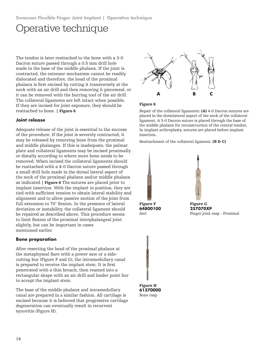The tendon is later reattached to the bone with a 3-0 Dacron suture passed through a 0.5 mm drill hole made in the base of the middle phalanx. If the joint is contracted, the extensor mechanism cannot be readily dislocated and therefore, the head of the proximal phalanx is first excised by cutting it transversely at the neck with an air drill and then removing it piecemeal, or it can be removed with the burring tool of the air drill. The collateral ligaments are left intact when possible. If they are incised for joint exposure, they should be reattached to bone. | Figure 6

#### **Joint release**

Adequate release of the joint is essential to the success of the procedure. If the joint is severely contracted, it may be released by removing bone from the proximal and middle phalanges. If this is inadequate, the palmar plate and collateral ligaments may be incised proximally or distally according to where more bone needs to be removed. When incised the collateral ligaments should be reattached with a 4-0 Dacron suture passed through a small drill hole made in the dorsal lateral aspect of the neck of the proximal phalanx and/or middle phalanx as indicated | Figure 6 The sutures are placed prior to implant insertion. With the implant in position, they are tied with sufficient tension to obtain lateral stability and alignment and to allow passive motion of the joint from full extension to 70° flexion. In the presence of lateral deviation or instability, the collateral ligament should be repaired as described above. This procedure seems to limit flexion of the proximal interphalangeal joint slightly, but can be important in cases mentioned earlier.

#### **Bone preparation**

After resecting the head of the proximal phalanx at the metaphyseal flare with a power saw or a sidecutting bur (Figure F and G), the intramedullary canal is prepared to receive the implant stem. It is first penetrated with a thin broach, then reamed into a rectangular shape with an air drill and leader point bur to accept the implant stem.

The base of the middle phalanx and intramedullary canal are prepared in a similar fashion. All cartilage is excised because it is believed that progressive cartilage degeneration can eventually result in recurrent synovitis (Figure H).



#### Figure 6

Repair of the collateral ligaments: (A) 4-0 Dacron sutures are placed in the dorsolateral aspect of the neck of the collateral ligament. A 3-0 Dacron suture is placed through the base of the middle phalanx for reconstruction of the central tendon. In implant arthroplasty, sutures are placed before implant insertion.

Reattachment of the collateral ligament. (B & C)





**257070XP** Finger joint rasp - Proximal



Bone rasp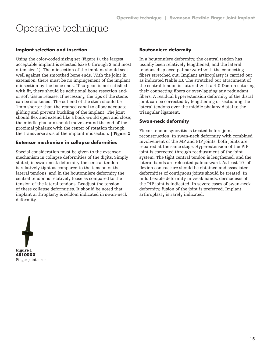#### **Implant selection and insertion**

Using the color-coded sizing set (Figure I), the largest acceptable implant is selected (size 0 through 3 and most often size 1). The midsection of the implant should seat well against the smoothed bone ends. With the joint in extension, there must be no impingement of the implant midsection by the bone ends. If surgeon is not satisfied with fit, there should be additional bone resection and/ or soft tissue release. If necessary, the tips of the stems can be shortened. The cut end of the stem should be 1mm shorter than the reamed canal to allow adequate gliding and prevent buckling of the implant. The joint should flex and extend like a book would open and close; the middle phalanx should move around the end of the proximal phalanx with the center of rotation through the transverse axis of the implant midsection. | Figure 2

#### **Extensor mechanism in collapse deformities**

Special consideration must be given to the extensor mechanism in collapse deformities of the digits. Simply stated, in swan-neck deformity the central tendon is relatively tight as compared to the tension of the lateral tendons, and in the boutonniere deformity the central tendon is relatively loose as compared to the tension of the lateral tendons. Readjust the tension of these collapse deformities. It should be noted that implant arthroplasty is seldom indicated in swan-neck deformity.

#### **Boutonniere deformity**

In a boutonniere deformity, the central tendon has usually been relatively lengthened, and the lateral tendons displaced palmarward with the connecting fibers stretched out. Implant arthroplasty is carried out as indicated (Table II). The stretched out attachment of the central tendon is sutured with a 4-0 Dacron suturing their connecting fibers or over-lapping any redundant fibers. A residual hyperextension deformity of the distal joint can be corrected by lengthening or sectioning the lateral tendons over the middle phalanx distal to the triangular ligament.

#### **Swan-neck deformity**

Flexor tendon synovitis is treated before joint reconstruction. In swan-neck deformity with combined involvement of the MP and PIP joints, both joints are repaired at the same stage. Hyperextension of the PIP joint is corrected through readjustment of the joint system. The tight central tendon is lengthened, and the lateral bands are relocated palmarward. At least 10° of flexion contracture should be obtained and associated deformities of contiguous joints should be treated. In mild flexible deformity in weak hands, dermadesis of the PIP joint is indicated. In severe cases of swan-neck deformity, fusion of the joint is preferred. Implant arthroplasty is rarely indicated.

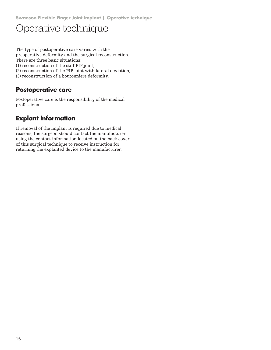The type of postoperative care varies with the preoperative deformity and the surgical reconstruction. There are three basic situations:

(1) reconstruction of the stiff PIP joint,

(2) reconstruction of the PIP joint with lateral deviation,

(3) reconstruction of a boutonniere deformity.

### **Postoperative care**

Postoperative care is the responsibility of the medical professional.

### **Explant information**

If removal of the implant is required due to medical reasons, the surgeon should contact the manufacturer using the contact information located on the back cover of this surgical technique to receive instruction for returning the explanted device to the manufacturer.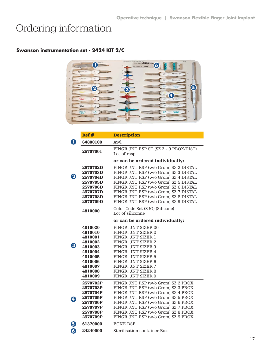# Ordering information

### **Swanson instrumentation set - 2424 KIT 2/C**

|                 |                  | BROACH<br>$\bigoplus$ | TRAY AND LID NUMBER 2424-0000 CE<br><b>AUTOMOBIE 2424K/T2 6</b> |                | <b>BLRS</b>                        |
|-----------------|------------------|-----------------------|-----------------------------------------------------------------|----------------|------------------------------------|
| 20              | <b>TY WRIGHT</b> | 2D                    |                                                                 | 2 <sup>p</sup> | <b>DP</b><br><b>TY WRIGHT</b>      |
| $\infty$        | <b>TYWRIGHT</b>  | 3D                    |                                                                 | 3P             | $\mathbb{R}^n$<br><b>TI</b> WRIGHT |
| 40              | <b>TY WRIGHT</b> | AD.<br>2              |                                                                 |                | sa-<br>WEIGHT<br>5                 |
| 5D              |                  |                       | 3                                                               |                | $\sim$                             |
| $60^{\circ}$    | <b>WRIGHT</b>    | 6D                    |                                                                 | (4<br>6P       | WRIGHT                             |
| 12              | WRIGHT.          | <b>7D</b>             |                                                                 | 7P             | WRIGHT.<br>$70^{\circ}$            |
| 10 <sub>1</sub> | WRIGHT.          | <b>8D</b>             |                                                                 | 8P             | <b>AP</b><br><b>WRIGHT</b>         |
| <b>IO</b>       |                  |                       |                                                                 |                | w                                  |

|                         | Ref#                                                                                                                  | <b>Description</b>                                                                                                                                                                                                                                                                                                           |  |  |  |
|-------------------------|-----------------------------------------------------------------------------------------------------------------------|------------------------------------------------------------------------------------------------------------------------------------------------------------------------------------------------------------------------------------------------------------------------------------------------------------------------------|--|--|--|
| O                       | 64800100                                                                                                              | Awl                                                                                                                                                                                                                                                                                                                          |  |  |  |
|                         | 25707001                                                                                                              | FINGR JNT RSP ST (SZ 2 - 9 PROX/DIST)<br>Lot of rasp                                                                                                                                                                                                                                                                         |  |  |  |
|                         |                                                                                                                       | or can be ordered individually:                                                                                                                                                                                                                                                                                              |  |  |  |
| 2                       | <b>2570702D</b><br>2570703D<br>2570704D<br>2570705D<br>2570706D<br>2570707D<br>2570708D<br>2570709D                   | FINGR JNT RSP (w/o Grom) SZ 2 DISTAL<br>FINGR JNT RSP (w/o Grom) SZ 3 DISTAL<br>FINGR JNT RSP (w/o Grom) SZ 4 DISTAL<br>FINGR JNT RSP (w/o Grom) SZ 5 DISTAL<br>FINGR JNT RSP (w/o Grom) SZ 6 DISTAL<br>FINGR JNT RSP (w/o Grom) SZ 7 DISTAL<br>FINGR JNT RSP (w/o Grom) SZ 8 DISTAL<br>FINGR JNT RSP (w/o Grom) SZ 9 DISTAL |  |  |  |
|                         | 4810000                                                                                                               | Color Code Set (SJO) (Silicone)<br>Lot of siliconne                                                                                                                                                                                                                                                                          |  |  |  |
|                         |                                                                                                                       | or can be ordered individually:                                                                                                                                                                                                                                                                                              |  |  |  |
| 3                       | 4810020<br>4810010<br>4810001<br>4810002<br>4810003<br>4810004<br>4810005<br>4810006<br>4810007<br>4810008<br>4810009 | FINGR. JNT SIZER 00<br>FINGR. JNT SIZER 0<br>FINGR. JNT SIZER 1<br>FINGR. JNT SIZER 2<br>FINGR. JNT SIZER 3<br>FINGR. JNT SIZER 4<br>FINGR. JNT SIZER 5<br>FINGR. JNT SIZER 6<br>FINGR. JNT SIZER 7<br>FINGR. JNT SIZER 8<br>FINGR. JNT SIZER 9                                                                              |  |  |  |
| $\overline{\mathbf{A}}$ | 2570702P<br>2570703P<br>2570704P<br>2570705P<br>2570706P<br>2570707P<br>2570708P<br>2570709P                          | FINGR JNT RSP (w/o Grom) SZ 2 PROX<br>FINGR JNT RSP (w/o Grom) SZ 3 PROX<br>FINGR JNT RSP (w/o Grom) SZ 4 PROX<br>FINGR JNT RSP (w/o Grom) SZ 5 PROX<br>FINGR JNT RSP (w/o Grom) SZ 6 PROX<br>FINGR JNT RSP (w/o Grom) SZ 7 PROX<br>FINGR JNT RSP (w/o Grom) SZ 8 PROX<br>FINGR JNT RSP (w/o Grom) SZ 9 PROX                 |  |  |  |
| 6                       | 61370000                                                                                                              | <b>BONE RSP</b>                                                                                                                                                                                                                                                                                                              |  |  |  |
| 6                       | 24240000                                                                                                              | Sterilisation container Box                                                                                                                                                                                                                                                                                                  |  |  |  |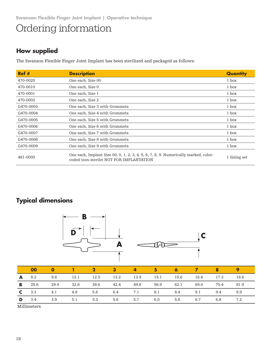# Ordering information

### **How supplied**

The Swanson Flexible Finger Joint Implant has been sterilized and packaged as follows:

| Ref#      | <b>Description</b>                                                                                                              | Quantity     |
|-----------|---------------------------------------------------------------------------------------------------------------------------------|--------------|
| 470-0020  | One each, Size 00                                                                                                               | 1 box        |
| 470-0010  | One each, Size 0                                                                                                                | 1 box        |
| 470-0001  | One each, Size 1                                                                                                                | 1 box        |
| 470-0002  | One each, Size 2                                                                                                                | 1 box        |
| G470-0003 | One each, Size 3 with Grommets                                                                                                  | 1 box        |
| G470-0004 | One each, Size 4 with Grommets                                                                                                  | 1 box        |
| G470-0005 | One each, Size 5 with Grommets                                                                                                  | 1 box        |
| G470-0006 | One each, Size 6 with Grommets                                                                                                  | 1 box        |
| G470-0007 | One each, Size 7 with Grommets                                                                                                  | 1 box        |
| G470-0008 | One each, Size 8 with Grommets                                                                                                  | 1 box        |
| G470-0009 | One each, Size 9 with Grommets                                                                                                  | 1 box        |
| 481-0000  | One each, Implant Size 00, 0, 1, 2, 3, 4, 5, 6, 7, 8, 9. Numerically marked, color-<br>coded (non-sterile) NOT FOR IMPLANTATION | 1 Sizing set |

### **Typical dimensions**



**D** 3.4 3.9 5.1 5.3 5.6 5.7 6.0 5.8 6.7 6.8 7.2

Millimeters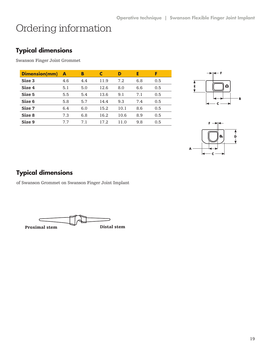# Ordering information

### **Typical dimensions**

Swanson Finger Joint Grommet

| <b>Dimension(mm)</b> | A   | В   |      | D    | E   | F   |
|----------------------|-----|-----|------|------|-----|-----|
| Size 3               | 4.6 | 4.4 | 11.9 | 7.2  | 6.8 | 0.5 |
| Size 4               | 5.1 | 5.0 | 12.6 | 8.0  | 6.6 | 0.5 |
| Size 5               | 5.5 | 5.4 | 13.6 | 9.1  | 7.1 | 0.5 |
| Size 6               | 5.8 | 5.7 | 14.4 | 9.3  | 7.4 | 0.5 |
| Size 7               | 6.4 | 6.0 | 15.2 | 10.1 | 8.6 | 0.5 |
| Size 8               | 7.3 | 6.8 | 16.2 | 10.6 | 8.9 | 0.5 |
| Size 9               | 7.7 | 7.1 | 17.2 | 11.0 | 9.8 | 0.5 |





### **Typical dimensions**

of Swanson Grommet on Swanson Finger Joint Implant